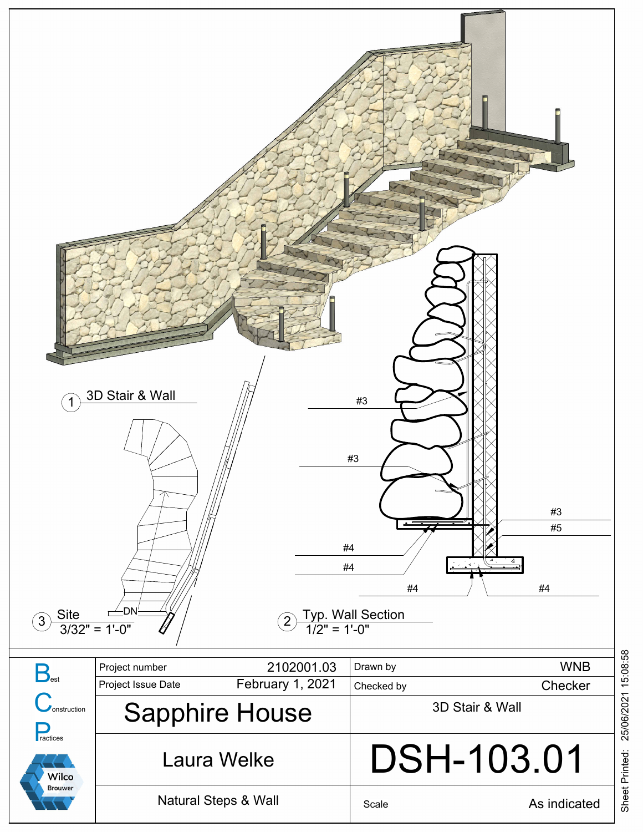